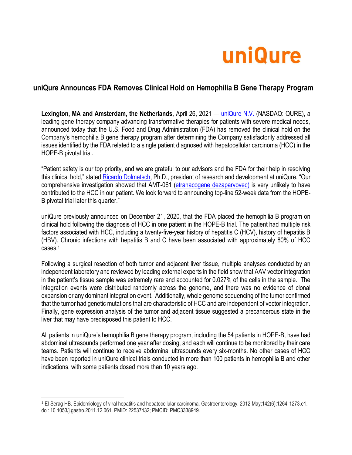

# **uniQure Announces FDA Removes Clinical Hold on Hemophilia B Gene Therapy Program**

**Lexington, MA and Amsterdam, the Netherlands,** April 26, 2021 — [uniQure N.V.](http://uniqure.com/) (NASDAQ: QURE), a leading gene therapy company advancing transformative therapies for patients with severe medical needs, announced today that the U.S. Food and Drug Administration (FDA) has removed the clinical hold on the Company's hemophilia B gene therapy program after determining the Company satisfactorily addressed all issues identified by the FDA related to a single patient diagnosed with hepatocellular carcinoma (HCC) in the HOPE-B pivotal trial.

"Patient safety is our top priority, and we are grateful to our advisors and the FDA for their help in resolving this clinical hold," stated [Ricardo Dolmetsch,](http://uniqure.com/about/about-management-team-ricardo-dolmetsch.php) Ph.D., president of research and development at uniQure. "Our comprehensive investigation showed that AMT-061 [\(etranacogene dezaparvovec\)](http://uniqure.com/gene-therapy/hemophilia.php) is very unlikely to have contributed to the HCC in our patient. We look forward to announcing top-line 52-week data from the HOPE-B pivotal trial later this quarter."

uniQure previously announced on December 21, 2020, that the FDA placed the hemophilia B program on clinical hold following the diagnosis of HCC in one patient in the HOPE-B trial. The patient had multiple risk factors associated with HCC, including a twenty-five-year history of hepatitis C (HCV), history of hepatitis B (HBV). Chronic infections with hepatitis B and C have been associated with approximately 80% of HCC cases.<sup>1</sup>

Following a surgical resection of both tumor and adjacent liver tissue, multiple analyses conducted by an independent laboratory and reviewed by leading external experts in the field show that AAV vector integration in the patient's tissue sample was extremely rare and accounted for 0.027% of the cells in the sample. The integration events were distributed randomly across the genome, and there was no evidence of clonal expansion or any dominant integration event. Additionally, whole genome sequencing of the tumor confirmed that the tumor had genetic mutations that are characteristic of HCC and are independent of vector integration. Finally, gene expression analysis of the tumor and adjacent tissue suggested a precancerous state in the liver that may have predisposed this patient to HCC.

All patients in uniQure's hemophilia B gene therapy program, including the 54 patients in HOPE-B, have had abdominal ultrasounds performed one year after dosing, and each will continue to be monitored by their care teams. Patients will continue to receive abdominal ultrasounds every six-months. No other cases of HCC have been reported in uniQure clinical trials conducted in more than 100 patients in hemophilia B and other indications, with some patients dosed more than 10 years ago.

<sup>1</sup> El-Serag HB. Epidemiology of viral hepatitis and hepatocellular carcinoma. Gastroenterology. 2012 May;142(6):1264-1273.e1. doi: 10.1053/j.gastro.2011.12.061. PMID: 22537432; PMCID: PMC3338949.